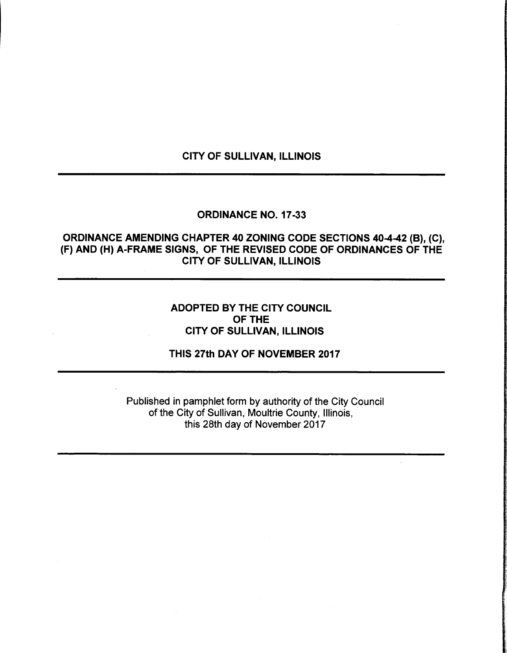# CITY OF SULLIVAN, ILLINOIS

#### ORDINANCE NO. 17-33

# ORDINANCE AMENDING CHAPTER 40 ZONING CODE SECTIONS 40-4-42 (B), (C), F) AND (H) A-FRAME SIGNS, OF THE REVISED CODE OF ORDINANCES OF THE CITY OF SULLIVAN, ILLINOIS

## ADOPTED BY THE CITY COUNCIL OF THE CITY OF SULLIVAN, ILLINOIS

### THIS 27th DAY OF NOVEMBER 2017

Published in pamphlet form by authority of the City Council of the City of Sullivan, Moultrie County, Illinois, this 28th day of November 2017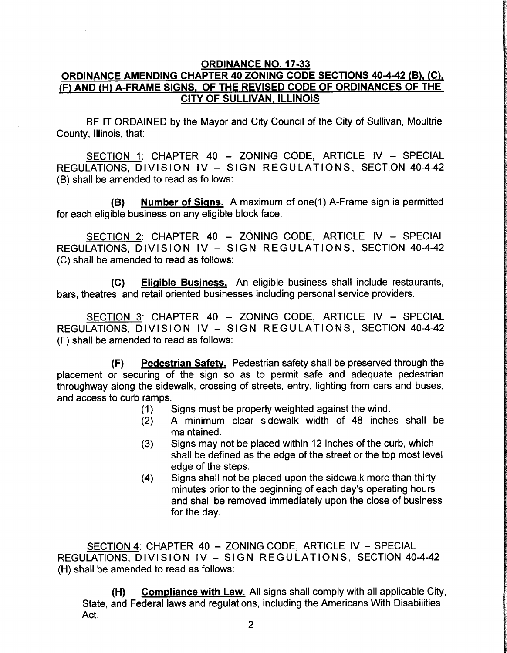## ORDINANCE NO. 17-33 ORDINANCE AMENDING CHAPTER 40 ZONING CODE SECTIONS 40-4-42 (B), (C), F) AND ( H) A-FRAME SIGNS, OF THE REVISED CODE OF ORDINANCES OF THE CITY OF SULLIVAN, ILLINOIS

BE IT ORDAINED by the Mayor and City Council of the City of Sullivan, Moultrie County, Illinois, that:

SECTION 1: CHAPTER 40 — ZONING CODE, ARTICLE IV — SPECIAL REGULATIONS, DIVISION IV — SIGN REGULATIONS, SECTION 40-4-42 B) shall be amended to read as follows:

B) Number of Signs. A maximum of one( 1) A-Frame sign is permitted for each eligible business on any eligible block face.

SECTION 2: CHAPTER 40 — ZONING CODE, ARTICLE IV — SPECIAL REGULATIONS, DIVISION IV — SIGN REGULATIONS , SECTION 40-4-42 C) shall be amended to read as follows:

C) Eligible Business. An eligible business shall include restaurants, bars, theatres, and retail oriented businesses including personal service providers.

SECTION 3: CHAPTER 40 — ZONING CODE, ARTICLE IV — SPECIAL REGULATIONS, DIVISION IV — SIGN REGULATIONS , SECTION 40-4-42 F) shall be amended to read as follows:

F) Pedestrian Safety. Pedestrian safety shall be preserved through the placement or securing of the sign so as to permit safe and adequate pedestrian throughway along the sidewalk, crossing of streets, entry, lighting from cars and buses, and access to curb ramps.

- 1) Signs must be properly weighted against the wind.
- 2) A minimum clear sidewalk width of 48 inches shall be maintained.
- 3) Signs may not be placed within 12 inches of the curb, which shall be defined as the edge of the street or the top most level edge of the steps.
- 4) Signs shall not be placed upon the sidewalk more than thirty minutes prior to the beginning of each day's operating hours and shall be removed immediately upon the close of business for the day.

SECTION 4: CHAPTER 40 — ZONING CODE, ARTICLE IV — SPECIAL REGULATIONS, DIVISION IV — SIGN REGULATIONS, SECTION 40-4-42 H) shall be amended to read as follows:

H) Compliance with Law. All signs shall comply with all applicable City, State, and Federal laws and regulations, including the Americans With Disabilities Act.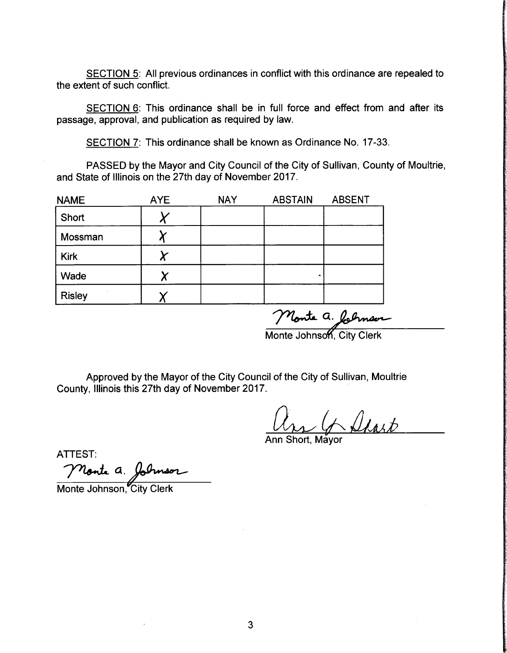SECTION 5: All previous ordinances in conflict with this ordinance are repealed to the extent of such conflict.

SECTION 6: This ordinance shall be in full force and effect from and after its passage, approval, and publication as required by law.

SECTION 7: This ordinance shall be known as Ordinance No. 17-33.

PASSED by the Mayor and City Council of the City of Sullivan, County of Moultrie, and State of Illinois on the 27th day of November 2017.

| <b>NAME</b>   | <b>AYE</b> | <b>NAY</b> | <b>ABSTAIN</b> | <b>ABSENT</b> |
|---------------|------------|------------|----------------|---------------|
| Short         |            |            |                |               |
| Mossman       |            |            |                |               |
| <b>Kirk</b>   |            |            |                |               |
| Wade          |            |            |                |               |
| <b>Risley</b> |            |            |                |               |

Monte a. folyneur<br>Monte Johnson, City Clerk

Approved by the Mayor of the City Council of the City of Sullivan, Moultrie County, Illinois this 27th day of November 2017.

Ann Short, Mayor

ATTEST:

Monte a. Johnson